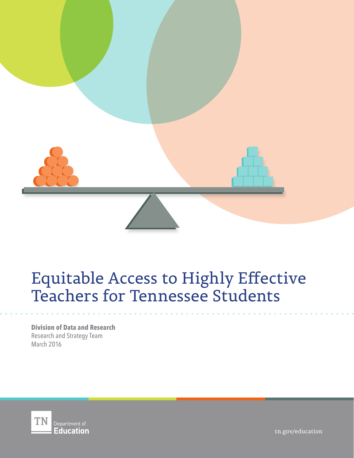

# Equitable Access to Highly Effective Teachers for Tennessee Students

**Division of Data and Research** Research and Strategy Team March 2016



tn.gov/education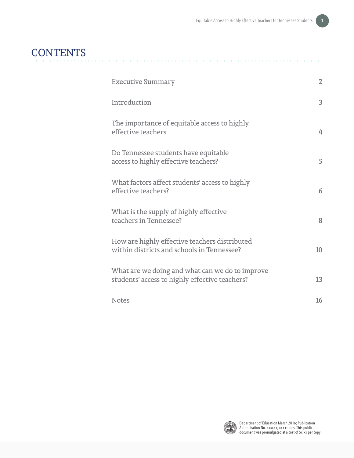# **CONTENTS**

| <b>Executive Summary</b>                                                                          | $\overline{2}$ |
|---------------------------------------------------------------------------------------------------|----------------|
| Introduction                                                                                      | 3              |
| The importance of equitable access to highly<br>effective teachers                                | 4              |
| Do Tennessee students have equitable<br>access to highly effective teachers?                      | 5              |
| What factors affect students' access to highly<br>effective teachers?                             | 6              |
| What is the supply of highly effective<br>teachers in Tennessee?                                  | 8              |
| How are highly effective teachers distributed<br>within districts and schools in Tennessee?       | 10             |
| What are we doing and what can we do to improve<br>students' access to highly effective teachers? | 13             |
| <b>Notes</b>                                                                                      | 16             |

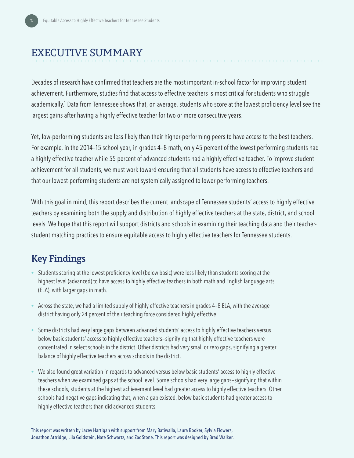### <span id="page-3-0"></span>EXECUTIVE SUMMARY

Decades of research have confirmed that teachers are the most important in-school factor for improving student achievement. Furthermore, studies find that access to effective teachers is most critical for students who struggle academically.<sup>1</sup> Data from Tennessee shows that, on average, students who score at the lowest proficiency level see the largest gains after having a highly effective teacher for two or more consecutive years.

Yet, low-performing students are less likely than their higher-performing peers to have access to the best teachers. For example, in the 2014–15 school year, in grades 4–8 math, only 45 percent of the lowest performing students had a highly effective teacher while 55 percent of advanced students had a highly effective teacher. To improve student achievement for all students, we must work toward ensuring that all students have access to effective teachers and that our lowest-performing students are not systemically assigned to lower-performing teachers.

With this goal in mind, this report describes the current landscape of Tennessee students' access to highly effective teachers by examining both the supply and distribution of highly effective teachers at the state, district, and school levels. We hope that this report will support districts and schools in examining their teaching data and their teacherstudent matching practices to ensure equitable access to highly effective teachers for Tennessee students.

### **Key Findings**

- Students scoring at the lowest proficiency level (below basic) were less likely than students scoring at the highest level (advanced) to have access to highly effective teachers in both math and English language arts (ELA), with larger gaps in math.
- Across the state, we had a limited supply of highly effective teachers in grades 4–8 ELA, with the average district having only 24 percent of their teaching force considered highly effective.
- Some districts had very large gaps between advanced students' access to highly effective teachers versus below basic students' access to highly effective teachers—signifying that highly effective teachers were concentrated in select schools in the district. Other districts had very small or zero gaps, signifying a greater balance of highly effective teachers across schools in the district.
- We also found great variation in regards to advanced versus below basic students' access to highly effective teachers when we examined gaps at the school level. Some schools had very large gaps—signifying that within these schools, students at the highest achievement level had greater access to highly effective teachers. Other schools had negative gaps indicating that, when a gap existed, below basic students had greater access to highly effective teachers than did advanced students.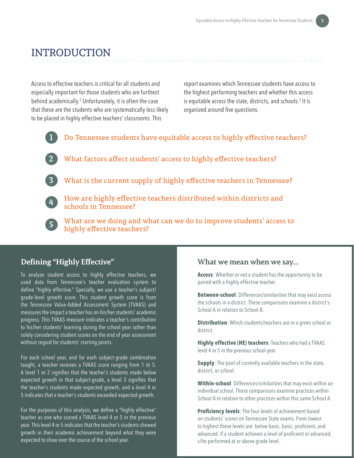### <span id="page-4-0"></span>INTRODUCTION

Access to effective teachers is critical for all students and especially important for those students who are furthest behind academically.2 Unfortunately, it is often the case that these are the students who are systematically less likely to be placed in highly effective teachers' classrooms. This

report examines which Tennessee students have access to the highest performing teachers and whether this access is equitable across the state, districts, and schools. $^3$  It is organized around five questions:



**1** Do Tennessee students have equitable access to highly effective teachers?

- **2** What factors affect students' access to highly effective teachers?
- **3** What is the current supply of highly effective teachers in Tennessee?
- 

**4** How are highly effective teachers distributed within districts and schools in Tennessee?

**5** What are we doing and what can we do to improve students' access to highly effective teachers?

### **Defining "Highly Effective"**

To analyze student access to highly effective teachers, we used data from Tennessee's teacher evaluation system to define "highly effective." Specially, we use a teacher's subject/ grade-level growth score. This student growth score is from the Tennessee Value-Added Assessment System (TVAAS) and measures the impact a teacher has on his/her students' academic progress. This TVAAS measure indicates a teacher's contribution to his/her students' learning during the school year rather than solely considering student scores on the end of year assessment without regard for students' starting points.

For each school year, and for each subject-grade combination taught, a teacher receives a TVAAS score ranging from 1 to 5. A level 1 or 2 signifies that the teacher's students made below expected growth in that subject-grade, a level 3 signifies that the teacher's students made expected growth, and a level 4 or 5 indicates that a teacher's students exceeded expected growth.

For the purposes of this analysis, we define a "highly effective" teacher as one who scored a TVAAS level 4 or 5 in the previous year. This level 4 or 5 indicates that the teacher's students showed growth in their academic achievement beyond what they were expected to show over the course of the school year.

### **What we mean when we say…**

**Access**: Whether or not a student has the opportunity to be paired with a highly effective teacher.

**Between-school**: Differences/similarities that may exist across the schools in a district. These comparisons examine a district's School A in relation to School B.

**Distribution**: Which students/teachers are in a given school or district.

**Highly effective (HE) teachers**: Teachers who had a TVAAS level 4 or 5 in the previous school year.

**Supply**: The pool of currently available teachers in the state, district, or school.

**Within-school**: Differences/similarities that may exist within an individual school. These comparisons examine practices within School A in relation to other practices within this same School A.

**Proficiency levels**: The four levels of achievement based on students' scores on Tennessee State exams. From lowest to highest these levels are: below basic, basic, proficient, and advanced. If a student achieves a level of proficient or advanced, s/he performed at or above grade level.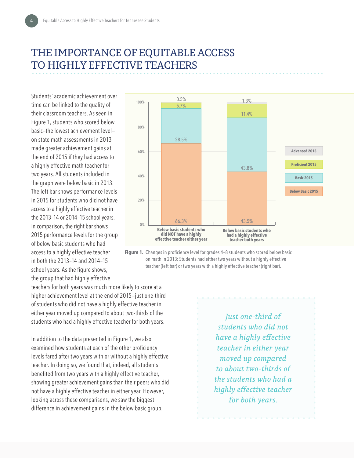## <span id="page-5-0"></span>THE IMPORTANCE OF EQUITABLE ACCESS TO HIGHLY EFFECTIVE TEACHERS

Students' academic achievement over time can be linked to the quality of their classroom teachers. As seen in Figure 1, students who scored below basic—the lowest achievement level on state math assessments in 2013 made greater achievement gains at the end of 2015 if they had access to a highly effective math teacher for two years. All students included in the graph were below basic in 2013. The left bar shows performance levels in 2015 for students who did not have access to a highly effective teacher in the 2013–14 or 2014–15 school years. In comparison, the right bar shows 2015 performance levels for the group of below basic students who had access to a highly effective teacher in both the 2013–14 and 2014–15 school years. As the figure shows, the group that had highly effective



Figure 1. Changes in proficiency level for grades 4-8 students who scored below basic on math in 2013: Students had either two years without a highly effective teacher (left bar) or two years with a highly effective teacher (right bar).

teachers for both years was much more likely to score at a higher achievement level at the end of 2015—just one-third of students who did not have a highly effective teacher in either year moved up compared to about two-thirds of the students who had a highly effective teacher for both years.

In addition to the data presented in Figure 1, we also examined how students at each of the other proficiency levels fared after two years with or without a highly effective teacher. In doing so, we found that, indeed, all students benefited from two years with a highly effective teacher, showing greater achievement gains than their peers who did not have a highly effective teacher in either year. However, looking across these comparisons, we saw the biggest difference in achievement gains in the below basic group.

*Just one-third of students who did not have a highly effective teacher in either year moved up compared to about two-thirds of the students who had a highly effective teacher for both years.*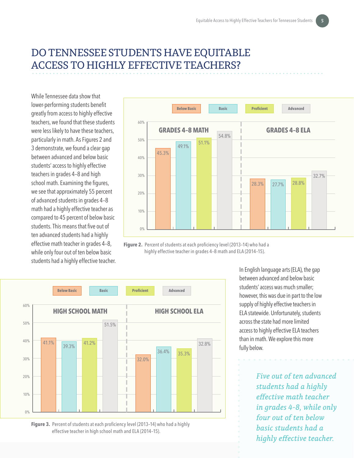# <span id="page-6-0"></span>DO TENNESSEE STUDENTS HAVE EQUITABLE ACCESS TO HIGHLY EFFECTIVE TEACHERS?

While Tennessee data show that lower-performing students benefit greatly from access to highly effective teachers, we found that these students were less likely to have these teachers, particularly in math. As Figures 2 and 3 demonstrate, we found a clear gap between advanced and below basic students' access to highly effective teachers in grades 4–8 and high school math. Examining the figures, we see that approximately 55 percent of advanced students in grades 4–8 math had a highly effective teacher as compared to 45 percent of below basic students. This means that five out of ten advanced students had a highly effective math teacher in grades 4–8, while only four out of ten below basic students had a highly effective teacher.



**Figure 2.** Percent of students at each proficiency level (2013–14) who had a highly effective teacher in grades 4–8 math and ELA (2014–15).



**Figure 3.** Percent of students at each proficiency level (2013–14) who had a highly effective teacher in high school math and ELA (2014–15).

In English language arts (ELA), the gap between advanced and below basic students' access was much smaller; however, this was due in part to the low supply of highly effective teachers in ELA statewide. Unfortunately, students across the state had more limited access to highly effective ELA teachers than in math. We explore this more fully below.

> *Five out of ten advanced students had a highly effective math teacher in grades 4-8, while only four out of ten below basic students had a highly effective teacher.*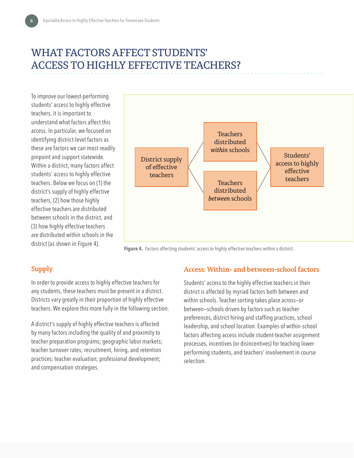# <span id="page-7-0"></span>WHAT FACTORS AFFECT STUDENTS' ACCESS TO HIGHLY EFFECTIVE TEACHERS?

To improve our lowest-performing students' access to highly effective teachers, it is important to understand what factors affect this access. In particular, we focused on identifying district-level factors as these are factors we can most readily pinpoint and support statewide. Within a district, many factors affect students' access to highly effective teachers. Below we focus on (1) the district's supply of highly effective teachers, (2) how those highly effective teachers are distributed between schools in the district, and (3) how highly effective teachers are distributed within schools in the district (as shown in Figure 4).



Figure 4. Factors affecting students' access to highly effective teachers within a district.

### **Supply**

In order to provide access to highly effective teachers for any students, these teachers must be present in a district. Districts vary greatly in their proportion of highly effective teachers. We explore this more fully in the following section.

A district's supply of highly effective teachers is affected by many factors including the quality of and proximity to teacher preparation programs; geographic labor markets; teacher turnover rates; recruitment, hiring, and retention practices; teacher evaluation; professional development; and compensation strategies.

#### **Access: Within- and between-school factors**

Students' access to the highly effective teachers in their district is affected by myriad factors both between and within schools. Teacher sorting takes place across—or between—schools driven by factors such as teacher preferences, district hiring and staffing practices, school leadership, and school location. Examples of within-school factors affecting access include student-teacher assignment processes, incentives (or disincentives) for teaching lowerperforming students, and teachers' involvement in course selection.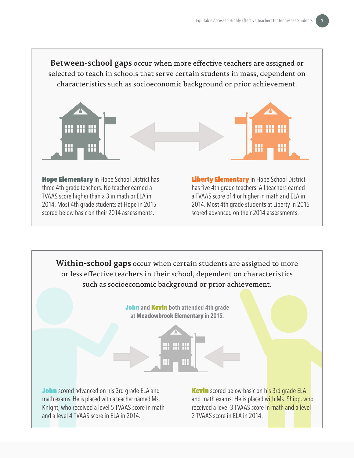**Between-school gaps** occur when more effective teachers are assigned or selected to teach in schools that serve certain students in mass, dependent on characteristics such as socioeconomic background or prior achievement.



**Hope Elementary** in Hope School District has three 4th grade teachers. No teacher earned a TVAAS score higher than a 3 in math or ELA in 2014. Most 4th grade students at Hope in 2015 scored below basic on their 2014 assessments.

Liberty Elementary in Hope School District has five 4th grade teachers. All teachers earned a TVAAS score of 4 or higher in math and ELA in 2014. Most 4th grade students at Liberty in 2015 scored advanced on their 2014 assessments.

**Within-school gaps** occur when certain students are assigned to more or less effective teachers in their school, dependent on characteristics such as socioeconomic background or prior achievement. John **and** Kevin **both attended 4th grade at Meadowbrook Elementary in 2015.**

**John** scored advanced on his 3rd grade ELA and math exams. He is placed with a teacher named Ms. Knight, who received a level 5 TVAAS score in math and a level 4 TVAAS score in ELA in 2014.

**Kevin** scored below basic on his 3rd grade ELA and math exams. He is placed with Ms. Shipp, who received a level 3 TVAAS score in math and a level 2 TVAAS score in ELA in 2014.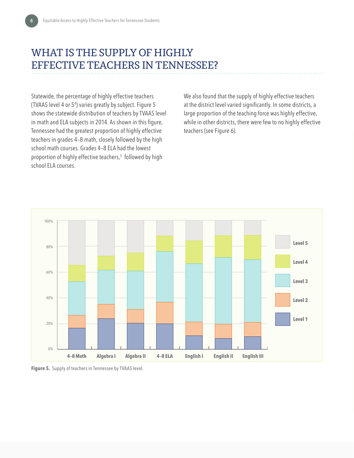# <span id="page-9-0"></span>WHAT IS THE SUPPLY OF HIGHLY EFFECTIVE TEACHERS IN TENNESSEE?

Statewide, the percentage of highly effective teachers (TVAAS level 4 or 5<sup>4</sup> ) varies greatly by subject. Figure 5 shows the statewide distribution of teachers by TVAAS level in math and ELA subjects in 2014. As shown in this figure, Tennessee had the greatest proportion of highly effective teachers in grades 4–8 math, closely followed by the high school math courses. Grades 4–8 ELA had the lowest proportion of highly effective teachers,5 followed by high school ELA courses.

We also found that the supply of highly effective teachers at the district level varied significantly. In some districts, a large proportion of the teaching force was highly effective, while in other districts, there were few to no highly effective teachers (see Figure 6).



**Figure 5.** Supply of teachers in Tennessee by TVAAS level.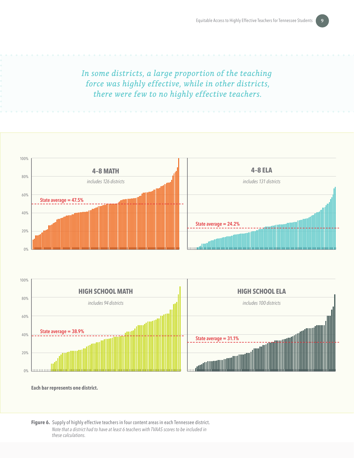*In some districts, a large proportion of the teaching force was highly effective, while in other districts, there were few to no highly effective teachers.* 





**Each bar represents one district.**

**Figure 6.** Supply of highly effective teachers in four content areas in each Tennessee district. *Note that a district had to have at least 6 teachers with TVAAS scores to be included in these calculations.*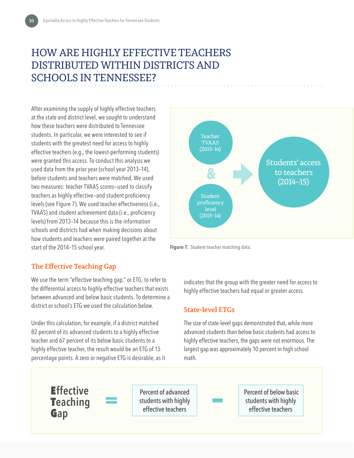# <span id="page-11-0"></span>HOW ARE HIGHLY EFFECTIVE TEACHERS DISTRIBUTED WITHIN DISTRICTS AND SCHOOLS IN TENNESSEE?

After examining the supply of highly effective teachers at the state and district level, we sought to understand how these teachers were distributed to Tennessee students. In particular, we were interested to see if students with the greatest need for access to highly effective teachers (e.g., the lowest-performing students) were granted this access. To conduct this analysis we used data from the prior year (school year 2013–14), before students and teachers were matched. We used two measures: teacher TVAAS scores—used to classify teachers as highly effective—and student proficiency levels (see Figure 7). We used teacher effectiveness (i.e., TVAAS) and student achievement data (i.e., proficiency levels) from 2013–14 because this is the information schools and districts had when making decisions about how students and teachers were paired together at the start of the 2014–15 school year.





### **The Effective Teaching Gap**

We use the term "effective teaching gap," or ETG, to refer to the differential access to highly effective teachers that exists between advanced and below basic students. To determine a district or school's ETG we used the calculation below.

Under this calculation, for example, if a district matched 82 percent of its advanced students to a highly effective teacher and 67 percent of its below basic students to a highly effective teacher, the result would be an ETG of 15 percentage points. A zero or negative ETG is desirable, as it indicates that the group with the greater need for access to highly effective teachers had equal or greater access.

### **State-level ETGs**

The size of state-level gaps demonstrated that, while more advanced students than below basic students had access to highly effective teachers, the gaps were not enormous. The largest gap was approximately 10 percent in high school math.

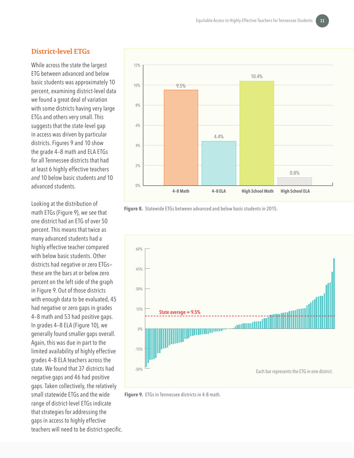#### **District-level ETGs**

While across the state the largest ETG between advanced and below basic students was approximately 10 percent, examining district-level data we found a great deal of variation with some districts having very large ETGs and others very small. This suggests that the state-level gap in access was driven by particular districts. Figures 9 and 10 show the grade 4–8 math and ELA ETGs for all Tennessee districts that had at least 6 highly effective teachers *and* 10 below basic students *and* 10 advanced students.

Looking at the distribution of math ETGs (Figure 9), we see that one district had an ETG of over 50 percent. This means that twice as many advanced students had a highly effective teacher compared with below basic students. Other districts had negative or zero ETGs these are the bars at or below zero percent on the left side of the graph in Figure 9. Out of those districts with enough data to be evaluated, 45 had negative or zero gaps in grades 4–8 math and 53 had positive gaps. In grades 4–8 ELA (Figure 10), we generally found smaller gaps overall. Again, this was due in part to the limited availability of highly effective grades 4–8 ELA teachers across the state. We found that 37 districts had negative gaps and 46 had positive gaps. Taken collectively, the relatively small statewide ETGs and the wide range of district-level ETGs indicate that strategies for addressing the gaps in access to highly effective teachers will need to be district-specific.







**Figure 9.** ETGs in Tennessee districts in 4-8 math.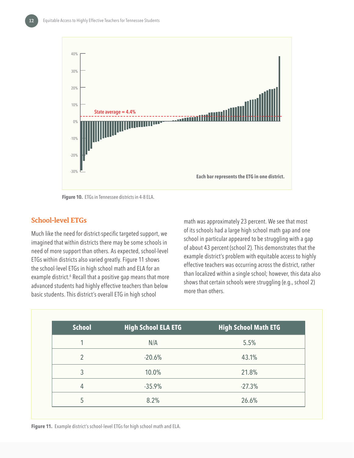

**Figure 10.** ETGs in Tennessee districts in 4-8 ELA.

#### **School-level ETGs**

Much like the need for district-specific targeted support, we imagined that within districts there may be some schools in need of more support than others. As expected, school-level ETGs within districts also varied greatly. Figure 11 shows the school-level ETGs in high school math and ELA for an example district.<sup>6</sup> Recall that a positive gap means that more advanced students had highly effective teachers than below basic students. This district's overall ETG in high school

math was approximately 23 percent. We see that most of its schools had a large high school math gap and one school in particular appeared to be struggling with a gap of about 43 percent (school 2). This demonstrates that the example district's problem with equitable access to highly effective teachers was occurring across the district, rather than localized within a single school; however, this data also shows that certain schools were struggling (e.g., school 2) more than others.

| <b>School</b>  | <b>High School ELA ETG</b> | <b>High School Math ETG</b> |
|----------------|----------------------------|-----------------------------|
|                | N/A                        | 5.5%                        |
| $\mathfrak{D}$ | $-20.6%$                   | 43.1%                       |
| 3              | 10.0%                      | 21.8%                       |
| 4              | $-35.9%$                   | $-27.3%$                    |
| 5              | 8.2%                       | 26.6%                       |

**Figure 11.** Example district's school-level ETGs for high school math and ELA.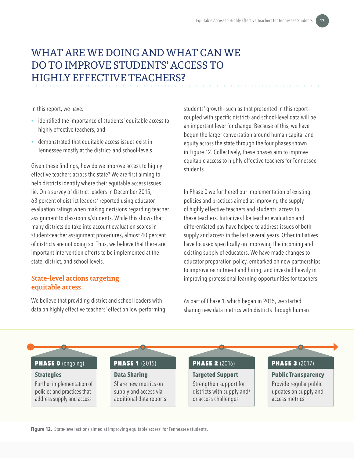# <span id="page-14-0"></span>WHAT ARE WE DOING AND WHAT CAN WE DO TO IMPROVE STUDENTS' ACCESS TO HIGHLY EFFECTIVE TEACHERS?

In this report, we have:

- identified the importance of students' equitable access to highly effective teachers, and
- demonstrated that equitable access issues exist in Tennessee mostly at the district- and school-levels.

Given these findings, how do we improve access to highly effective teachers across the state? We are first aiming to help districts identify where their equitable access issues lie. On a survey of district leaders in December 2015, 63 percent of district leaders<sup>7</sup> reported using educator evaluation ratings when making decisions regarding teacher assignment to classrooms/students. While this shows that many districts do take into account evaluation scores in student-teacher assignment procedures, almost 40 percent of districts are not doing so. Thus, we believe that there are important intervention efforts to be implemented at the state, district, and school levels.

### **State-level actions targeting equitable access**

We believe that providing district and school leaders with data on highly effective teachers' effect on low-performing students' growth—such as that presented in this report coupled with specific district- and school-level data will be an important lever for change. Because of this, we have begun the larger conversation around human capital and equity across the state through the four phases shown in Figure 12. Collectively, these phases aim to improve equitable access to highly effective teachers for Tennessee students.

In Phase 0 we furthered our implementation of existing policies and practices aimed at improving the supply of highly effective teachers and students' access to these teachers. Initiatives like teacher evaluation and differentiated pay have helped to address issues of both supply and access in the last several years. Other initiatives have focused specifically on improving the incoming and existing supply of educators. We have made changes to educator preparation policy, embarked on new partnerships to improve recruitment and hiring, and invested heavily in improving professional learning opportunities for teachers.

As part of Phase 1, which began in 2015, we started sharing new data metrics with districts through human



**Figure 12.** State-level actions aimed at improving equitable access for Tennessee students.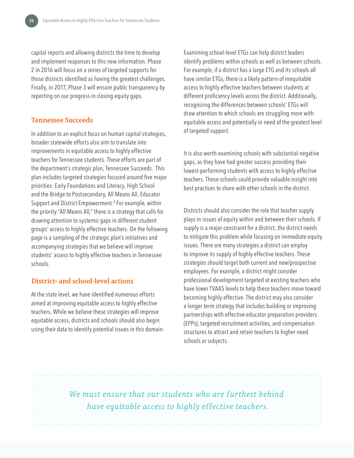capital reports and allowing districts the time to develop and implement responses to this new information. Phase 2 in 2016 will focus on a series of targeted supports for those districts identified as having the greatest challenges. Finally, in 2017, Phase 3 will ensure public transparency by reporting on our progress in closing equity gaps.

#### **Tennessee Succeeds**

In addition to an explicit focus on human capital strategies, broader statewide efforts also aim to translate into improvements in equitable access to highly effective teachers for Tennessee students. These efforts are part of the department's strategic plan, Tennessee Succeeds. This plan includes targeted strategies focused around five major priorities: Early Foundations and Literacy, High School and the Bridge to Postsecondary, All Means All, Educator Support and District Empowerment.8 For example, within the priority "All Means All," there is a strategy that calls for drawing attention to systemic gaps in different student groups' access to highly effective teachers. On the following page is a sampling of the strategic plan's initiatives and accompanying strategies that we believe will improve students' access to highly effective teachers in Tennessee schools.

#### **District- and school-level actions**

At the state level, we have identified numerous efforts aimed at improving equitable access to highly effective teachers. While we believe these strategies will improve equitable access, districts and schools should also begin using their data to identify potential issues in this domain. Examining school-level ETGs can help district leaders identify problems within schools as well as between schools. For example, if a district has a large ETG and its schools all have similar ETGs, there is a likely pattern of inequitable access to highly effective teachers between students at different proficiency levels across the district. Additionally, recognizing the differences between schools' ETGs will draw attention to which schools are struggling more with equitable access and potentially in need of the greatest level of targeted support.

It is also worth examining schools with substantial negative gaps, as they have had greater success providing their lowest-performing students with access to highly effective teachers. These schools could provide valuable insight into best practices to share with other schools in the district.

Districts should also consider the role that teacher supply plays in issues of equity within and between their schools. If supply is a major constraint for a district, the district needs to mitigate this problem while focusing on immediate equity issues. There are many strategies a district can employ to improve its supply of highly effective teachers. These strategies should target both current and new/prospective employees. For example, a district might consider professional development targeted at existing teachers who have lower TVAAS levels to help these teachers move toward becoming highly effective. The district may also consider a longer term strategy that includes building or improving partnerships with effective educator preparation providers (EPPs), targeted recruitment activities, and compensation structures to attract and retain teachers to higher need schools or subjects.

*We must ensure that our students who are furthest behind have equitable access to highly effective teachers.*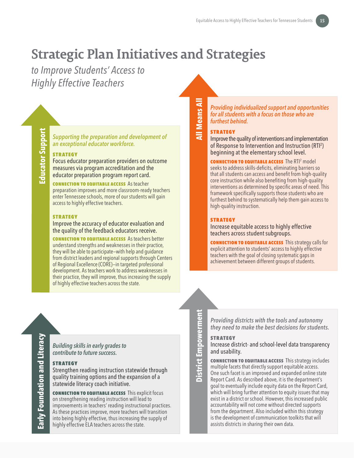# **Strategic Plan Initiatives and Strategies**

*to Improve Students' Access to Highly Effective Teachers*

*Supporting the preparation and development of an exceptional educator workforce.*

#### **STRATEGY**

Focus educator preparation providers on outcome measures via program accreditation and the educator preparation program report card.

CONNECTION TO EQUITABLE ACCESS As teacher preparation improves and more classroom-ready teachers enter Tennessee schools, more of our students will gain access to highly effective teachers.

#### **STRATEGY**

Improve the accuracy of educator evaluation and the quality of the feedback educators receive.

**CONNECTION TO EQUITABLE ACCESS** As teachers better understand strengths and weaknesses in their practice, they will be able to participate—with help and guidance from district leaders and regional supports through Centers of Regional Excellence (CORE)—in targeted professional development. As teachers work to address weaknesses in their practice, they will improve, thus increasing the supply of highly effective teachers across the state.

#### *Providing individualized support and opportunities for all students with a focus on those who are furthest behind.*

#### **STRATEGY**

**All Means All**

**All Means All** 

Improve the quality of interventions and implementation of Response to Intervention and Instruction (RTI<sup>2</sup>) beginning at the elementary school level.

**CONNECTION TO EQUITABLE ACCESS** The RTI<sup>2</sup> model seeks to address skills-deficits, eliminating barriers so that all students can access and benefit from high-quality core instruction while also benefiting from high-quality interventions as determined by specific areas of need. This framework specifically supports those students who are furthest behind to systematically help them gain access to high-quality instruction.

#### **STRATEGY**

Increase equitable access to highly effective teachers across student subgroups.

CONNECTION TO EQUITABLE ACCESS This strategy calls for explicit attention to students' access to highly effective teachers with the goal of closing systematic gaps in achievement between different groups of students.

*Building skills in early grades to contribute to future success.*

#### strategy

Strengthen reading instruction statewide through quality training options and the expansion of a statewide literacy coach initiative.

CONNECTION TO EQUITABLE ACCESS This explicit focus on strengthening reading instruction will lead to improvements in teachers' reading instructional practices. As these practices improve, more teachers will transition into being highly effective, thus increasing the supply of highly effective ELA teachers across the state.

**District Empowerment**  District Empowerment

*Providing districts with the tools and autonomy they need to make the best decisions for students.*

#### **STRATEGY**

Increase district- and school-level data transparency and usability.

CONNECTION TO EQUITABLE ACCESS This strategy includes multiple facets that directly support equitable access. One such facet is an improved and expanded online state Report Card. As described above, it is the department's goal to eventually include equity data on the Report Card, which will bring further attention to equity issues that may exist in a district or school. However, this increased public accountability will not come without directed supports from the department. Also included within this strategy is the development of communication toolkits that will assists districts in sharing their own data.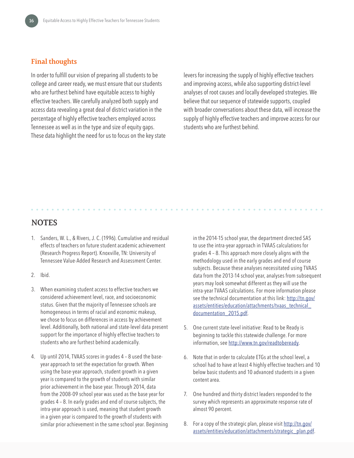#### **Final thoughts**

In order to fulfill our vision of preparing all students to be college and career ready, we must ensure that our students who are furthest behind have equitable access to highly effective teachers. We carefully analyzed both supply and access data revealing a great deal of district variation in the percentage of highly effective teachers employed across Tennessee as well as in the type and size of equity gaps. These data highlight the need for us to focus on the key state

levers for increasing the supply of highly effective teachers and improving access, while also supporting district-level analyses of root causes and locally developed strategies. We believe that our sequence of statewide supports, coupled with broader conversations about these data, will increase the supply of highly effective teachers and improve access for our students who are furthest behind.

### **NOTES**

- 1. Sanders, W. L., & Rivers, J. C. (1996). Cumulative and residual effects of teachers on future student academic achievement (Research Progress Report). Knoxville, TN: University of Tennessee Value-Added Research and Assessment Center.
- 2. Ibid.
- 3. When examining student access to effective teachers we considered achievement level, race, and socioeconomic status. Given that the majority of Tennessee schools are homogeneous in terms of racial and economic makeup, we chose to focus on differences in access by achievement level. Additionally, both national and state-level data present support for the importance of highly effective teachers to students who are furthest behind academically.
- 4. Up until 2014, TVAAS scores in grades 4 8 used the baseyear approach to set the expectation for growth. When using the base-year approach, student growth in a given year is compared to the growth of students with similar prior achievement in the base year. Through 2014, data from the 2008-09 school year was used as the base year for grades 4 – 8. In early grades and end of course subjects, the intra-year approach is used, meaning that student growth in a given year is compared to the growth of students with similar prior achievement in the same school year. Beginning

in the 2014-15 school year, the department directed SAS to use the intra-year approach in TVAAS calculations for grades 4 – 8. This approach more closely aligns with the methodology used in the early grades and end of course subjects. Because these analyses necessitated using TVAAS data from the 2013-14 school year, analyses from subsequent years may look somewhat different as they will use the intra-year TVAAS calculations. For more information please see the technical documentation at this link: [http://tn.gov/](http://tn.gov/assets/entities/education/attachments/tvaas_technical_documentation_2015.pdf) [assets/entities/education/attachments/tvaas\\_technical\\_](http://tn.gov/assets/entities/education/attachments/tvaas_technical_documentation_2015.pdf) [documentation\\_2015.pdf](http://tn.gov/assets/entities/education/attachments/tvaas_technical_documentation_2015.pdf).

- 5. One current state-level initiative: Read to be Ready is beginning to tackle this statewide challenge. For more information, see <http://www.tn.gov/readtobeready>.
- 6. Note that in order to calculate ETGs at the school level, a school had to have at least 4 highly effective teachers and 10 below basic students and 10 advanced students in a given content area.
- 7. One hundred and thirty district leaders responded to the survey which represents an approximate response rate of almost 90 percent.
- 8. For a copy of the strategic plan, please visit [http://tn.gov/](http://tn.gov/assets/entities/education/attachments/strategic_plan.pdf) [assets/entities/education/attachments/strategic\\_plan.pdf](http://tn.gov/assets/entities/education/attachments/strategic_plan.pdf).